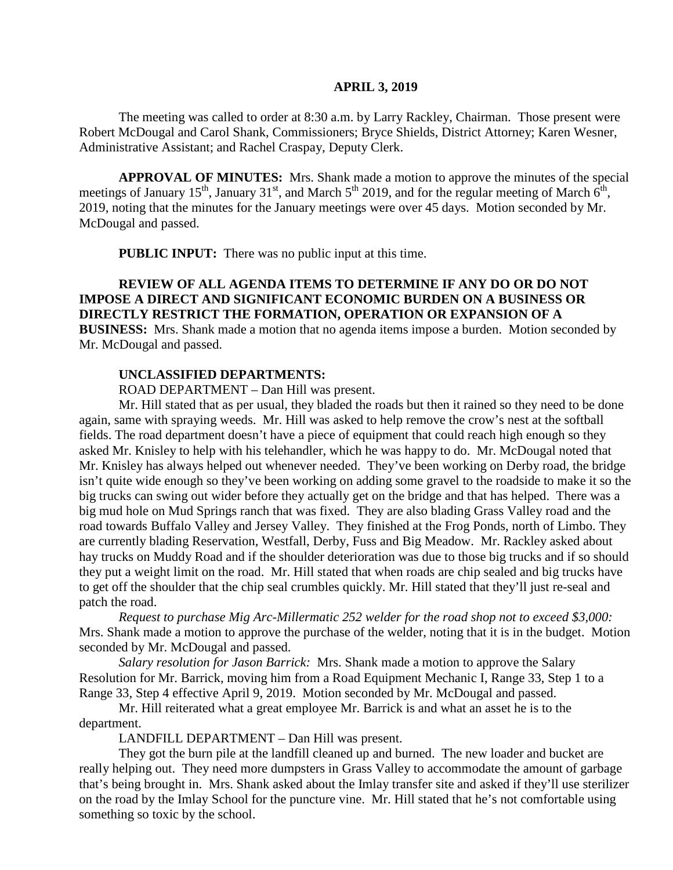#### **APRIL 3, 2019**

The meeting was called to order at 8:30 a.m. by Larry Rackley, Chairman. Those present were Robert McDougal and Carol Shank, Commissioners; Bryce Shields, District Attorney; Karen Wesner, Administrative Assistant; and Rachel Craspay, Deputy Clerk.

**APPROVAL OF MINUTES:** Mrs. Shank made a motion to approve the minutes of the special meetings of January 15<sup>th</sup>, January 31<sup>st</sup>, and March 5<sup>th</sup> 2019, and for the regular meeting of March  $6<sup>th</sup>$ , 2019, noting that the minutes for the January meetings were over 45 days. Motion seconded by Mr. McDougal and passed.

 **PUBLIC INPUT:** There was no public input at this time.

**REVIEW OF ALL AGENDA ITEMS TO DETERMINE IF ANY DO OR DO NOT IMPOSE A DIRECT AND SIGNIFICANT ECONOMIC BURDEN ON A BUSINESS OR DIRECTLY RESTRICT THE FORMATION, OPERATION OR EXPANSION OF A BUSINESS:** Mrs. Shank made a motion that no agenda items impose a burden. Motion seconded by Mr. McDougal and passed.

#### **UNCLASSIFIED DEPARTMENTS:**

ROAD DEPARTMENT – Dan Hill was present.

Mr. Hill stated that as per usual, they bladed the roads but then it rained so they need to be done again, same with spraying weeds. Mr. Hill was asked to help remove the crow's nest at the softball fields. The road department doesn't have a piece of equipment that could reach high enough so they asked Mr. Knisley to help with his telehandler, which he was happy to do. Mr. McDougal noted that Mr. Knisley has always helped out whenever needed. They've been working on Derby road, the bridge isn't quite wide enough so they've been working on adding some gravel to the roadside to make it so the big trucks can swing out wider before they actually get on the bridge and that has helped. There was a big mud hole on Mud Springs ranch that was fixed. They are also blading Grass Valley road and the road towards Buffalo Valley and Jersey Valley. They finished at the Frog Ponds, north of Limbo. They are currently blading Reservation, Westfall, Derby, Fuss and Big Meadow. Mr. Rackley asked about hay trucks on Muddy Road and if the shoulder deterioration was due to those big trucks and if so should they put a weight limit on the road. Mr. Hill stated that when roads are chip sealed and big trucks have to get off the shoulder that the chip seal crumbles quickly. Mr. Hill stated that they'll just re-seal and patch the road.

*Request to purchase Mig Arc-Millermatic 252 welder for the road shop not to exceed \$3,000:*  Mrs. Shank made a motion to approve the purchase of the welder, noting that it is in the budget. Motion seconded by Mr. McDougal and passed.

*Salary resolution for Jason Barrick:* Mrs. Shank made a motion to approve the Salary Resolution for Mr. Barrick, moving him from a Road Equipment Mechanic I, Range 33, Step 1 to a Range 33, Step 4 effective April 9, 2019. Motion seconded by Mr. McDougal and passed.

Mr. Hill reiterated what a great employee Mr. Barrick is and what an asset he is to the department.

LANDFILL DEPARTMENT – Dan Hill was present.

They got the burn pile at the landfill cleaned up and burned. The new loader and bucket are really helping out. They need more dumpsters in Grass Valley to accommodate the amount of garbage that's being brought in. Mrs. Shank asked about the Imlay transfer site and asked if they'll use sterilizer on the road by the Imlay School for the puncture vine. Mr. Hill stated that he's not comfortable using something so toxic by the school.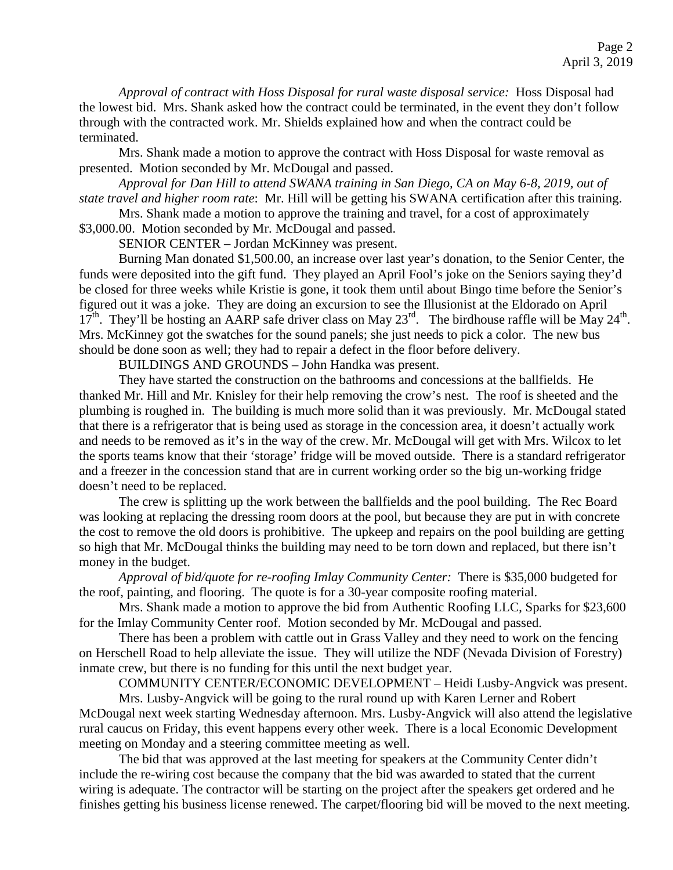*Approval of contract with Hoss Disposal for rural waste disposal service:* Hoss Disposal had the lowest bid. Mrs. Shank asked how the contract could be terminated, in the event they don't follow through with the contracted work. Mr. Shields explained how and when the contract could be terminated.

Mrs. Shank made a motion to approve the contract with Hoss Disposal for waste removal as presented. Motion seconded by Mr. McDougal and passed.

*Approval for Dan Hill to attend SWANA training in San Diego, CA on May 6-8, 2019, out of state travel and higher room rate*: Mr. Hill will be getting his SWANA certification after this training.

Mrs. Shank made a motion to approve the training and travel, for a cost of approximately

\$3,000.00. Motion seconded by Mr. McDougal and passed.

SENIOR CENTER – Jordan McKinney was present.

Burning Man donated \$1,500.00, an increase over last year's donation, to the Senior Center, the funds were deposited into the gift fund. They played an April Fool's joke on the Seniors saying they'd be closed for three weeks while Kristie is gone, it took them until about Bingo time before the Senior's figured out it was a joke. They are doing an excursion to see the Illusionist at the Eldorado on April  $17<sup>th</sup>$ . They'll be hosting an AARP safe driver class on May  $23<sup>rd</sup>$ . The birdhouse raffle will be May  $24<sup>th</sup>$ . Mrs. McKinney got the swatches for the sound panels; she just needs to pick a color. The new bus should be done soon as well; they had to repair a defect in the floor before delivery.

BUILDINGS AND GROUNDS – John Handka was present.

They have started the construction on the bathrooms and concessions at the ballfields. He thanked Mr. Hill and Mr. Knisley for their help removing the crow's nest. The roof is sheeted and the plumbing is roughed in. The building is much more solid than it was previously. Mr. McDougal stated that there is a refrigerator that is being used as storage in the concession area, it doesn't actually work and needs to be removed as it's in the way of the crew. Mr. McDougal will get with Mrs. Wilcox to let the sports teams know that their 'storage' fridge will be moved outside. There is a standard refrigerator and a freezer in the concession stand that are in current working order so the big un-working fridge doesn't need to be replaced.

The crew is splitting up the work between the ballfields and the pool building. The Rec Board was looking at replacing the dressing room doors at the pool, but because they are put in with concrete the cost to remove the old doors is prohibitive. The upkeep and repairs on the pool building are getting so high that Mr. McDougal thinks the building may need to be torn down and replaced, but there isn't money in the budget.

*Approval of bid/quote for re-roofing Imlay Community Center:* There is \$35,000 budgeted for the roof, painting, and flooring. The quote is for a 30-year composite roofing material.

Mrs. Shank made a motion to approve the bid from Authentic Roofing LLC, Sparks for \$23,600 for the Imlay Community Center roof. Motion seconded by Mr. McDougal and passed.

There has been a problem with cattle out in Grass Valley and they need to work on the fencing on Herschell Road to help alleviate the issue. They will utilize the NDF (Nevada Division of Forestry) inmate crew, but there is no funding for this until the next budget year.

COMMUNITY CENTER/ECONOMIC DEVELOPMENT – Heidi Lusby-Angvick was present.

Mrs. Lusby-Angvick will be going to the rural round up with Karen Lerner and Robert McDougal next week starting Wednesday afternoon. Mrs. Lusby-Angvick will also attend the legislative rural caucus on Friday, this event happens every other week. There is a local Economic Development meeting on Monday and a steering committee meeting as well.

The bid that was approved at the last meeting for speakers at the Community Center didn't include the re-wiring cost because the company that the bid was awarded to stated that the current wiring is adequate. The contractor will be starting on the project after the speakers get ordered and he finishes getting his business license renewed. The carpet/flooring bid will be moved to the next meeting.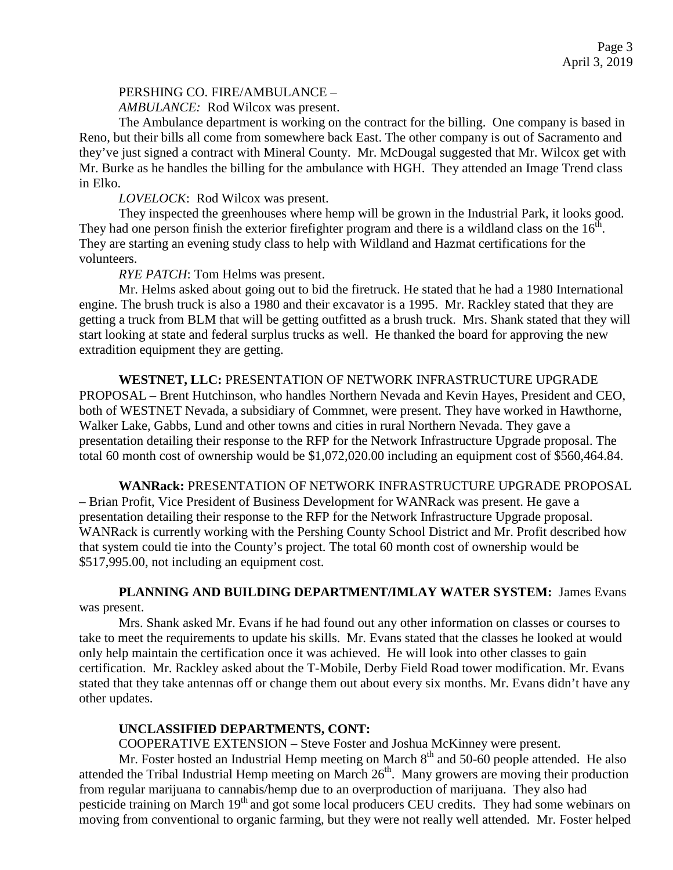## PERSHING CO. FIRE/AMBULANCE –

*AMBULANCE:* Rod Wilcox was present.

The Ambulance department is working on the contract for the billing. One company is based in Reno, but their bills all come from somewhere back East. The other company is out of Sacramento and they've just signed a contract with Mineral County. Mr. McDougal suggested that Mr. Wilcox get with Mr. Burke as he handles the billing for the ambulance with HGH. They attended an Image Trend class in Elko.

## *LOVELOCK*: Rod Wilcox was present.

They inspected the greenhouses where hemp will be grown in the Industrial Park, it looks good. They had one person finish the exterior firefighter program and there is a wildland class on the  $16<sup>th</sup>$ . They are starting an evening study class to help with Wildland and Hazmat certifications for the volunteers.

## *RYE PATCH*: Tom Helms was present.

Mr. Helms asked about going out to bid the firetruck. He stated that he had a 1980 International engine. The brush truck is also a 1980 and their excavator is a 1995. Mr. Rackley stated that they are getting a truck from BLM that will be getting outfitted as a brush truck. Mrs. Shank stated that they will start looking at state and federal surplus trucks as well. He thanked the board for approving the new extradition equipment they are getting.

 **WESTNET, LLC:** PRESENTATION OF NETWORK INFRASTRUCTURE UPGRADE PROPOSAL – Brent Hutchinson, who handles Northern Nevada and Kevin Hayes, President and CEO, both of WESTNET Nevada, a subsidiary of Commnet, were present. They have worked in Hawthorne, Walker Lake, Gabbs, Lund and other towns and cities in rural Northern Nevada. They gave a presentation detailing their response to the RFP for the Network Infrastructure Upgrade proposal. The total 60 month cost of ownership would be \$1,072,020.00 including an equipment cost of \$560,464.84.

**WANRack:** PRESENTATION OF NETWORK INFRASTRUCTURE UPGRADE PROPOSAL – Brian Profit, Vice President of Business Development for WANRack was present. He gave a presentation detailing their response to the RFP for the Network Infrastructure Upgrade proposal. WANRack is currently working with the Pershing County School District and Mr. Profit described how that system could tie into the County's project. The total 60 month cost of ownership would be \$517,995.00, not including an equipment cost.

**PLANNING AND BUILDING DEPARTMENT/IMLAY WATER SYSTEM:** James Evans was present.

Mrs. Shank asked Mr. Evans if he had found out any other information on classes or courses to take to meet the requirements to update his skills. Mr. Evans stated that the classes he looked at would only help maintain the certification once it was achieved. He will look into other classes to gain certification. Mr. Rackley asked about the T-Mobile, Derby Field Road tower modification. Mr. Evans stated that they take antennas off or change them out about every six months. Mr. Evans didn't have any other updates.

# **UNCLASSIFIED DEPARTMENTS, CONT:**

COOPERATIVE EXTENSION – Steve Foster and Joshua McKinney were present.

Mr. Foster hosted an Industrial Hemp meeting on March  $8<sup>th</sup>$  and 50-60 people attended. He also attended the Tribal Industrial Hemp meeting on March  $26<sup>th</sup>$ . Many growers are moving their production from regular marijuana to cannabis/hemp due to an overproduction of marijuana. They also had pesticide training on March 19<sup>th</sup> and got some local producers CEU credits. They had some webinars on moving from conventional to organic farming, but they were not really well attended. Mr. Foster helped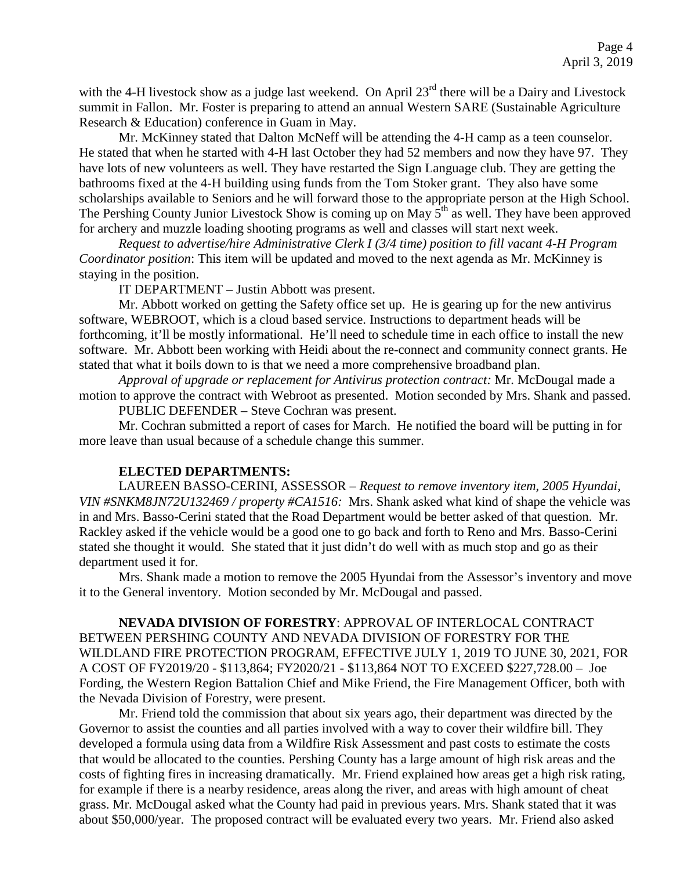with the 4-H livestock show as a judge last weekend. On April 23<sup>rd</sup> there will be a Dairy and Livestock summit in Fallon. Mr. Foster is preparing to attend an annual Western SARE (Sustainable Agriculture Research & Education) conference in Guam in May.

Mr. McKinney stated that Dalton McNeff will be attending the 4-H camp as a teen counselor. He stated that when he started with 4-H last October they had 52 members and now they have 97. They have lots of new volunteers as well. They have restarted the Sign Language club. They are getting the bathrooms fixed at the 4-H building using funds from the Tom Stoker grant. They also have some scholarships available to Seniors and he will forward those to the appropriate person at the High School. The Pershing County Junior Livestock Show is coming up on May  $5<sup>th</sup>$  as well. They have been approved for archery and muzzle loading shooting programs as well and classes will start next week.

*Request to advertise/hire Administrative Clerk I (3/4 time) position to fill vacant 4-H Program Coordinator position*: This item will be updated and moved to the next agenda as Mr. McKinney is staying in the position.

IT DEPARTMENT – Justin Abbott was present.

Mr. Abbott worked on getting the Safety office set up. He is gearing up for the new antivirus software, WEBROOT, which is a cloud based service. Instructions to department heads will be forthcoming, it'll be mostly informational. He'll need to schedule time in each office to install the new software. Mr. Abbott been working with Heidi about the re-connect and community connect grants. He stated that what it boils down to is that we need a more comprehensive broadband plan.

*Approval of upgrade or replacement for Antivirus protection contract:* Mr. McDougal made a motion to approve the contract with Webroot as presented. Motion seconded by Mrs. Shank and passed. PUBLIC DEFENDER – Steve Cochran was present.

Mr. Cochran submitted a report of cases for March. He notified the board will be putting in for more leave than usual because of a schedule change this summer.

### **ELECTED DEPARTMENTS:**

LAUREEN BASSO-CERINI, ASSESSOR – *Request to remove inventory item, 2005 Hyundai, VIN #SNKM8JN72U132469 / property #CA1516:* Mrs. Shank asked what kind of shape the vehicle was in and Mrs. Basso-Cerini stated that the Road Department would be better asked of that question. Mr. Rackley asked if the vehicle would be a good one to go back and forth to Reno and Mrs. Basso-Cerini stated she thought it would. She stated that it just didn't do well with as much stop and go as their department used it for.

Mrs. Shank made a motion to remove the 2005 Hyundai from the Assessor's inventory and move it to the General inventory. Motion seconded by Mr. McDougal and passed.

**NEVADA DIVISION OF FORESTRY**: APPROVAL OF INTERLOCAL CONTRACT BETWEEN PERSHING COUNTY AND NEVADA DIVISION OF FORESTRY FOR THE WILDLAND FIRE PROTECTION PROGRAM, EFFECTIVE JULY 1, 2019 TO JUNE 30, 2021, FOR A COST OF FY2019/20 - \$113,864; FY2020/21 - \$113,864 NOT TO EXCEED \$227,728.00 – Joe Fording, the Western Region Battalion Chief and Mike Friend, the Fire Management Officer, both with the Nevada Division of Forestry, were present.

Mr. Friend told the commission that about six years ago, their department was directed by the Governor to assist the counties and all parties involved with a way to cover their wildfire bill. They developed a formula using data from a Wildfire Risk Assessment and past costs to estimate the costs that would be allocated to the counties. Pershing County has a large amount of high risk areas and the costs of fighting fires in increasing dramatically. Mr. Friend explained how areas get a high risk rating, for example if there is a nearby residence, areas along the river, and areas with high amount of cheat grass. Mr. McDougal asked what the County had paid in previous years. Mrs. Shank stated that it was about \$50,000/year. The proposed contract will be evaluated every two years. Mr. Friend also asked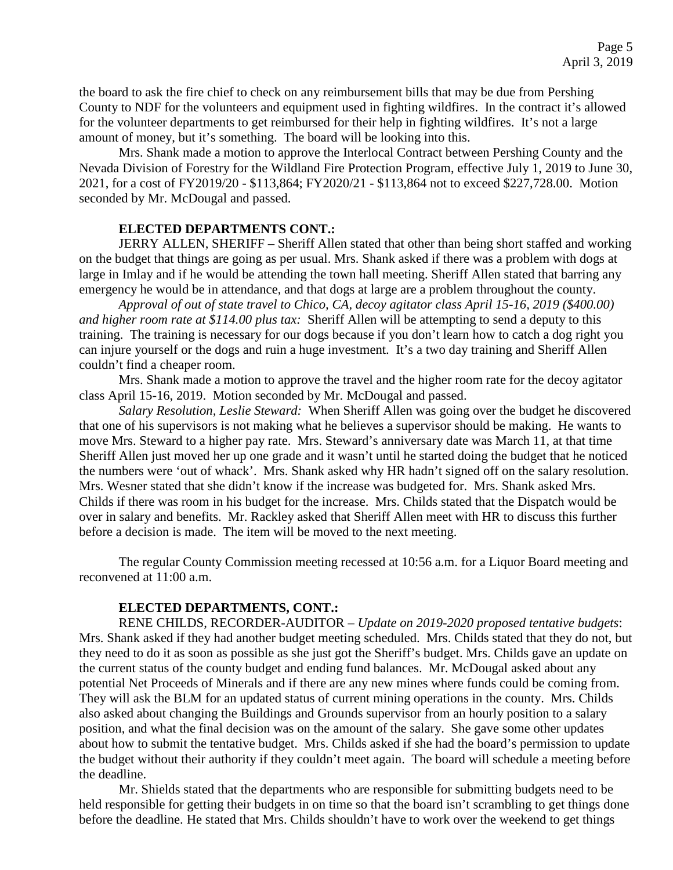the board to ask the fire chief to check on any reimbursement bills that may be due from Pershing County to NDF for the volunteers and equipment used in fighting wildfires. In the contract it's allowed for the volunteer departments to get reimbursed for their help in fighting wildfires. It's not a large amount of money, but it's something. The board will be looking into this.

Mrs. Shank made a motion to approve the Interlocal Contract between Pershing County and the Nevada Division of Forestry for the Wildland Fire Protection Program, effective July 1, 2019 to June 30, 2021, for a cost of FY2019/20 - \$113,864; FY2020/21 - \$113,864 not to exceed \$227,728.00. Motion seconded by Mr. McDougal and passed.

# **ELECTED DEPARTMENTS CONT.:**

JERRY ALLEN, SHERIFF – Sheriff Allen stated that other than being short staffed and working on the budget that things are going as per usual. Mrs. Shank asked if there was a problem with dogs at large in Imlay and if he would be attending the town hall meeting. Sheriff Allen stated that barring any emergency he would be in attendance, and that dogs at large are a problem throughout the county.

*Approval of out of state travel to Chico, CA, decoy agitator class April 15-16, 2019 (\$400.00) and higher room rate at \$114.00 plus tax:* Sheriff Allen will be attempting to send a deputy to this training. The training is necessary for our dogs because if you don't learn how to catch a dog right you can injure yourself or the dogs and ruin a huge investment. It's a two day training and Sheriff Allen couldn't find a cheaper room.

Mrs. Shank made a motion to approve the travel and the higher room rate for the decoy agitator class April 15-16, 2019. Motion seconded by Mr. McDougal and passed.

*Salary Resolution, Leslie Steward:* When Sheriff Allen was going over the budget he discovered that one of his supervisors is not making what he believes a supervisor should be making. He wants to move Mrs. Steward to a higher pay rate. Mrs. Steward's anniversary date was March 11, at that time Sheriff Allen just moved her up one grade and it wasn't until he started doing the budget that he noticed the numbers were 'out of whack'. Mrs. Shank asked why HR hadn't signed off on the salary resolution. Mrs. Wesner stated that she didn't know if the increase was budgeted for. Mrs. Shank asked Mrs. Childs if there was room in his budget for the increase. Mrs. Childs stated that the Dispatch would be over in salary and benefits. Mr. Rackley asked that Sheriff Allen meet with HR to discuss this further before a decision is made. The item will be moved to the next meeting.

The regular County Commission meeting recessed at 10:56 a.m. for a Liquor Board meeting and reconvened at 11:00 a.m.

### **ELECTED DEPARTMENTS, CONT.:**

RENE CHILDS, RECORDER-AUDITOR – *Update on 2019-2020 proposed tentative budgets*: Mrs. Shank asked if they had another budget meeting scheduled. Mrs. Childs stated that they do not, but they need to do it as soon as possible as she just got the Sheriff's budget. Mrs. Childs gave an update on the current status of the county budget and ending fund balances. Mr. McDougal asked about any potential Net Proceeds of Minerals and if there are any new mines where funds could be coming from. They will ask the BLM for an updated status of current mining operations in the county. Mrs. Childs also asked about changing the Buildings and Grounds supervisor from an hourly position to a salary position, and what the final decision was on the amount of the salary. She gave some other updates about how to submit the tentative budget. Mrs. Childs asked if she had the board's permission to update the budget without their authority if they couldn't meet again. The board will schedule a meeting before the deadline.

Mr. Shields stated that the departments who are responsible for submitting budgets need to be held responsible for getting their budgets in on time so that the board isn't scrambling to get things done before the deadline. He stated that Mrs. Childs shouldn't have to work over the weekend to get things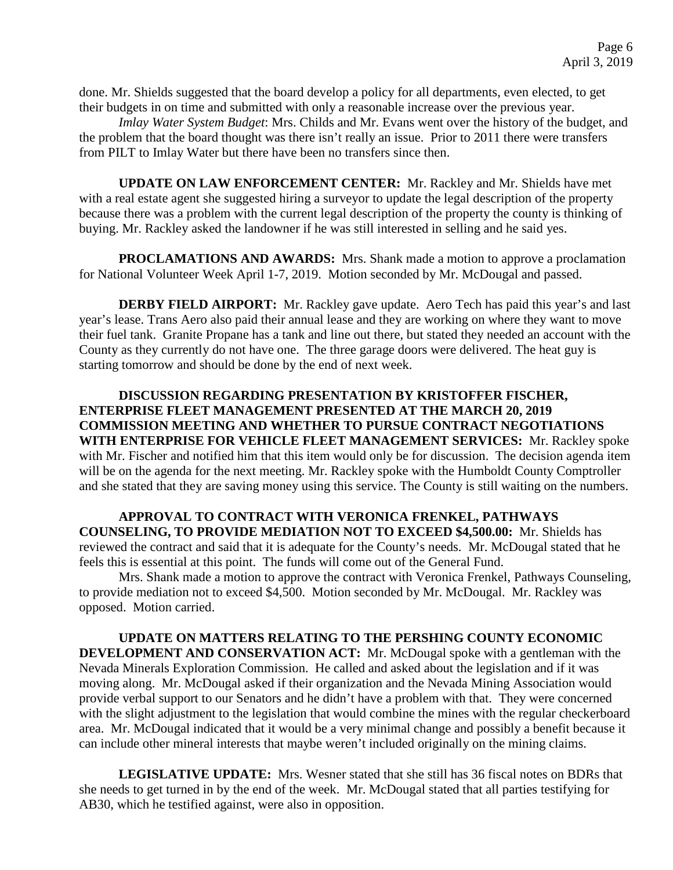done. Mr. Shields suggested that the board develop a policy for all departments, even elected, to get their budgets in on time and submitted with only a reasonable increase over the previous year.

*Imlay Water System Budget*: Mrs. Childs and Mr. Evans went over the history of the budget, and the problem that the board thought was there isn't really an issue. Prior to 2011 there were transfers from PILT to Imlay Water but there have been no transfers since then.

**UPDATE ON LAW ENFORCEMENT CENTER:** Mr. Rackley and Mr. Shields have met with a real estate agent she suggested hiring a surveyor to update the legal description of the property because there was a problem with the current legal description of the property the county is thinking of buying. Mr. Rackley asked the landowner if he was still interested in selling and he said yes.

**PROCLAMATIONS AND AWARDS:** Mrs. Shank made a motion to approve a proclamation for National Volunteer Week April 1-7, 2019. Motion seconded by Mr. McDougal and passed.

**DERBY FIELD AIRPORT:** Mr. Rackley gave update. Aero Tech has paid this year's and last year's lease. Trans Aero also paid their annual lease and they are working on where they want to move their fuel tank. Granite Propane has a tank and line out there, but stated they needed an account with the County as they currently do not have one. The three garage doors were delivered. The heat guy is starting tomorrow and should be done by the end of next week.

**DISCUSSION REGARDING PRESENTATION BY KRISTOFFER FISCHER, ENTERPRISE FLEET MANAGEMENT PRESENTED AT THE MARCH 20, 2019 COMMISSION MEETING AND WHETHER TO PURSUE CONTRACT NEGOTIATIONS WITH ENTERPRISE FOR VEHICLE FLEET MANAGEMENT SERVICES:** Mr. Rackley spoke with Mr. Fischer and notified him that this item would only be for discussion. The decision agenda item will be on the agenda for the next meeting. Mr. Rackley spoke with the Humboldt County Comptroller and she stated that they are saving money using this service. The County is still waiting on the numbers.

**APPROVAL TO CONTRACT WITH VERONICA FRENKEL, PATHWAYS COUNSELING, TO PROVIDE MEDIATION NOT TO EXCEED \$4,500.00:** Mr. Shields has reviewed the contract and said that it is adequate for the County's needs. Mr. McDougal stated that he feels this is essential at this point. The funds will come out of the General Fund.

Mrs. Shank made a motion to approve the contract with Veronica Frenkel, Pathways Counseling, to provide mediation not to exceed \$4,500. Motion seconded by Mr. McDougal. Mr. Rackley was opposed. Motion carried.

**UPDATE ON MATTERS RELATING TO THE PERSHING COUNTY ECONOMIC DEVELOPMENT AND CONSERVATION ACT:** Mr. McDougal spoke with a gentleman with the Nevada Minerals Exploration Commission. He called and asked about the legislation and if it was moving along. Mr. McDougal asked if their organization and the Nevada Mining Association would provide verbal support to our Senators and he didn't have a problem with that. They were concerned with the slight adjustment to the legislation that would combine the mines with the regular checkerboard area. Mr. McDougal indicated that it would be a very minimal change and possibly a benefit because it can include other mineral interests that maybe weren't included originally on the mining claims.

**LEGISLATIVE UPDATE:** Mrs. Wesner stated that she still has 36 fiscal notes on BDRs that she needs to get turned in by the end of the week. Mr. McDougal stated that all parties testifying for AB30, which he testified against, were also in opposition.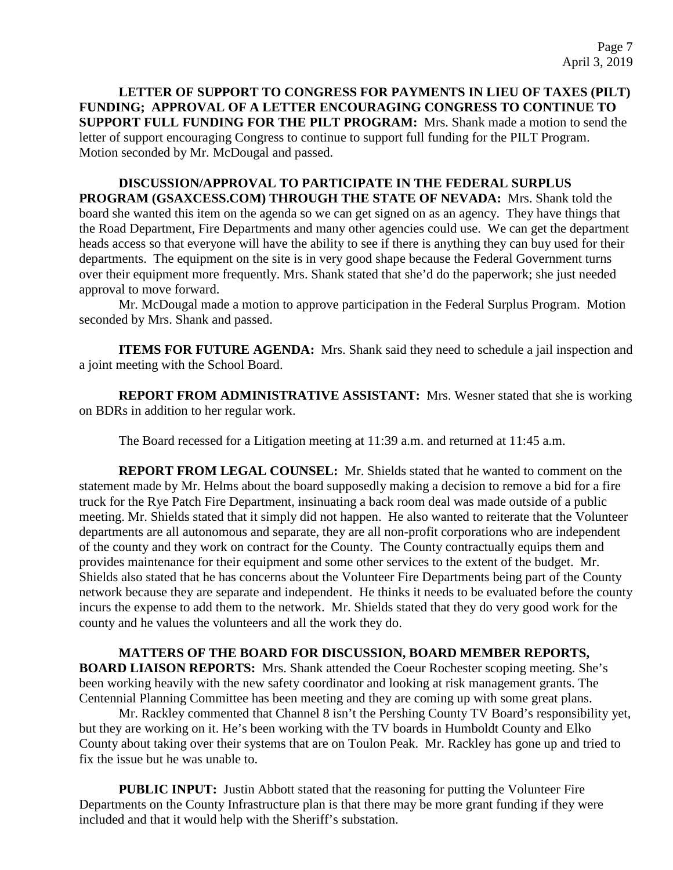**LETTER OF SUPPORT TO CONGRESS FOR PAYMENTS IN LIEU OF TAXES (PILT) FUNDING; APPROVAL OF A LETTER ENCOURAGING CONGRESS TO CONTINUE TO SUPPORT FULL FUNDING FOR THE PILT PROGRAM:** Mrs. Shank made a motion to send the letter of support encouraging Congress to continue to support full funding for the PILT Program. Motion seconded by Mr. McDougal and passed.

**DISCUSSION/APPROVAL TO PARTICIPATE IN THE FEDERAL SURPLUS PROGRAM (GSAXCESS.COM) THROUGH THE STATE OF NEVADA:** Mrs. Shank told the board she wanted this item on the agenda so we can get signed on as an agency. They have things that the Road Department, Fire Departments and many other agencies could use. We can get the department heads access so that everyone will have the ability to see if there is anything they can buy used for their departments. The equipment on the site is in very good shape because the Federal Government turns over their equipment more frequently. Mrs. Shank stated that she'd do the paperwork; she just needed approval to move forward.

Mr. McDougal made a motion to approve participation in the Federal Surplus Program. Motion seconded by Mrs. Shank and passed.

**ITEMS FOR FUTURE AGENDA:** Mrs. Shank said they need to schedule a jail inspection and a joint meeting with the School Board.

**REPORT FROM ADMINISTRATIVE ASSISTANT:** Mrs. Wesner stated that she is working on BDRs in addition to her regular work.

The Board recessed for a Litigation meeting at 11:39 a.m. and returned at 11:45 a.m.

**REPORT FROM LEGAL COUNSEL:** Mr. Shields stated that he wanted to comment on the statement made by Mr. Helms about the board supposedly making a decision to remove a bid for a fire truck for the Rye Patch Fire Department, insinuating a back room deal was made outside of a public meeting. Mr. Shields stated that it simply did not happen. He also wanted to reiterate that the Volunteer departments are all autonomous and separate, they are all non-profit corporations who are independent of the county and they work on contract for the County. The County contractually equips them and provides maintenance for their equipment and some other services to the extent of the budget. Mr. Shields also stated that he has concerns about the Volunteer Fire Departments being part of the County network because they are separate and independent. He thinks it needs to be evaluated before the county incurs the expense to add them to the network. Mr. Shields stated that they do very good work for the county and he values the volunteers and all the work they do.

# **MATTERS OF THE BOARD FOR DISCUSSION, BOARD MEMBER REPORTS,**

**BOARD LIAISON REPORTS:** Mrs. Shank attended the Coeur Rochester scoping meeting. She's been working heavily with the new safety coordinator and looking at risk management grants. The Centennial Planning Committee has been meeting and they are coming up with some great plans.

Mr. Rackley commented that Channel 8 isn't the Pershing County TV Board's responsibility yet, but they are working on it. He's been working with the TV boards in Humboldt County and Elko County about taking over their systems that are on Toulon Peak. Mr. Rackley has gone up and tried to fix the issue but he was unable to.

**PUBLIC INPUT:** Justin Abbott stated that the reasoning for putting the Volunteer Fire Departments on the County Infrastructure plan is that there may be more grant funding if they were included and that it would help with the Sheriff's substation.